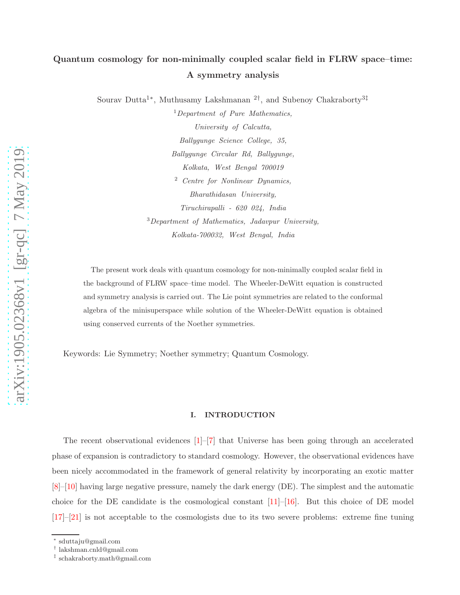# Quantum cosmology for non-minimally coupled scalar field in FLRW space–time: A symmetry analysis

Sourav Dutta<sup>1\*</sup>, Muthusamy Lakshmanan<sup>2†</sup>, and Subenoy Chakraborty<sup>3‡</sup>

<sup>1</sup>*Department of Pure Mathematics, University of Calcutta, Ballygunge Science College, 35, Ballygunge Circular Rd, Ballygunge, Kolkata, West Bengal 700019* <sup>2</sup> *Centre for Nonlinear Dynamics, Bharathidasan University, Tiruchirapalli - 620 024, India* <sup>3</sup>*Department of Mathematics, Jadavpur University, Kolkata-700032, West Bengal, India*

The present work deals with quantum cosmology for non-minimally coupled scalar field in the background of FLRW space–time model. The Wheeler-DeWitt equation is constructed and symmetry analysis is carried out. The Lie point symmetries are related to the conformal algebra of the minisuperspace while solution of the Wheeler-DeWitt equation is obtained using conserved currents of the Noether symmetries.

Keywords: Lie Symmetry; Noether symmetry; Quantum Cosmology.

#### I. INTRODUCTION

The recent observational evidences [ [1\]](#page-16-0)–[ [7](#page-16-1)] that Universe has been going through an accelerated phase of expansion is contradictory to standard cosmology. However, the observational evidences have been nicely accommodated in the framework of general relativity by incorporating an exotic matter [\[8\]](#page-17-0)–[\[10](#page-17-1)] having large negative pressure, namely the dark energy (DE). The simplest and the automatic choice for the DE candidate is the cosmological constant  $[11]$ – $[16]$  $[16]$ . But this choice of DE model [\[17](#page-17-4)]–[\[21](#page-18-0)] is not acceptable to the cosmologists due to its two severe problems: extreme fine tuning

<sup>∗</sup> sduttaju@gmail.com

<sup>†</sup> lakshman.cnld@gmail.com

<sup>‡</sup> schakraborty.math@gmail.com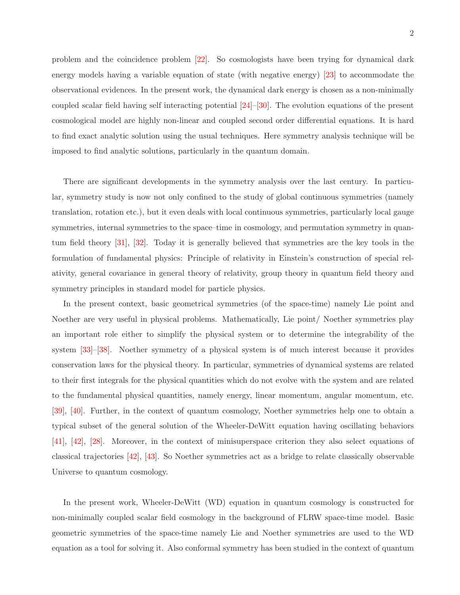problem and the coincidence problem [\[22](#page-18-1)]. So cosmologists have been trying for dynamical dark energy models having a variable equation of state (with negative energy) [\[23](#page-18-2)] to accommodate the observational evidences. In the present work, the dynamical dark energy is chosen as a non-minimally coupled scalar field having self interacting potential [\[24](#page-18-3)]–[\[30](#page-18-4)]. The evolution equations of the present cosmological model are highly non-linear and coupled second order differential equations. It is hard to find exact analytic solution using the usual techniques. Here symmetry analysis technique will be imposed to find analytic solutions, particularly in the quantum domain.

There are significant developments in the symmetry analysis over the last century. In particular, symmetry study is now not only confined to the study of global continuous symmetries (namely translation, rotation etc.), but it even deals with local continuous symmetries, particularly local gauge symmetries, internal symmetries to the space–time in cosmology, and permutation symmetry in quantum field theory [\[31\]](#page-18-5), [\[32](#page-18-6)]. Today it is generally believed that symmetries are the key tools in the formulation of fundamental physics: Principle of relativity in Einstein's construction of special relativity, general covariance in general theory of relativity, group theory in quantum field theory and symmetry principles in standard model for particle physics.

In the present context, basic geometrical symmetries (of the space-time) namely Lie point and Noether are very useful in physical problems. Mathematically, Lie point/ Noether symmetries play an important role either to simplify the physical system or to determine the integrability of the system [\[33\]](#page-18-7)–[\[38](#page-19-0)]. Noether symmetry of a physical system is of much interest because it provides conservation laws for the physical theory. In particular, symmetries of dynamical systems are related to their first integrals for the physical quantities which do not evolve with the system and are related to the fundamental physical quantities, namely energy, linear momentum, angular momentum, etc. [\[39](#page-19-1)], [\[40](#page-19-2)]. Further, in the context of quantum cosmology, Noether symmetries help one to obtain a typical subset of the general solution of the Wheeler-DeWitt equation having oscillating behaviors [\[41](#page-19-3)], [\[42](#page-19-4)], [\[28\]](#page-18-8). Moreover, in the context of minisuperspace criterion they also select equations of classical trajectories [\[42\]](#page-19-4), [\[43](#page-19-5)]. So Noether symmetries act as a bridge to relate classically observable Universe to quantum cosmology.

In the present work, Wheeler-DeWitt (WD) equation in quantum cosmology is constructed for non-minimally coupled scalar field cosmology in the background of FLRW space-time model. Basic geometric symmetries of the space-time namely Lie and Noether symmetries are used to the WD equation as a tool for solving it. Also conformal symmetry has been studied in the context of quantum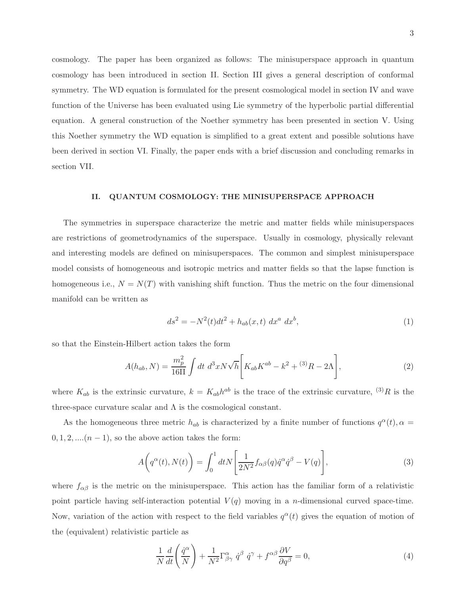cosmology. The paper has been organized as follows: The minisuperspace approach in quantum cosmology has been introduced in section II. Section III gives a general description of conformal symmetry. The WD equation is formulated for the present cosmological model in section IV and wave function of the Universe has been evaluated using Lie symmetry of the hyperbolic partial differential equation. A general construction of the Noether symmetry has been presented in section V. Using this Noether symmetry the WD equation is simplified to a great extent and possible solutions have been derived in section VI. Finally, the paper ends with a brief discussion and concluding remarks in section VII.

### II. QUANTUM COSMOLOGY: THE MINISUPERSPACE APPROACH

The symmetries in superspace characterize the metric and matter fields while minisuperspaces are restrictions of geometrodynamics of the superspace. Usually in cosmology, physically relevant and interesting models are defined on minisuperspaces. The common and simplest minisuperspace model consists of homogeneous and isotropic metrics and matter fields so that the lapse function is homogeneous i.e.,  $N = N(T)$  with vanishing shift function. Thus the metric on the four dimensional manifold can be written as

$$
ds^{2} = -N^{2}(t)dt^{2} + h_{ab}(x, t) dx^{a} dx^{b},
$$
\n(1)

so that the Einstein-Hilbert action takes the form

$$
A(h_{ab}, N) = \frac{m_p^2}{16\Pi} \int dt \ d^3x N \sqrt{h} \left[ K_{ab} K^{ab} - k^2 + {}^{(3)}R - 2\Lambda \right],\tag{2}
$$

where  $K_{ab}$  is the extrinsic curvature,  $k = K_{ab}h^{ab}$  is the trace of the extrinsic curvature,  ${}^{(3)}R$  is the three-space curvature scalar and  $\Lambda$  is the cosmological constant.

As the homogeneous three metric  $h_{ab}$  is characterized by a finite number of functions  $q^{\alpha}(t)$ ,  $\alpha =$  $0, 1, 2, \ldots, (n-1)$ , so the above action takes the form:

$$
A\left(q^{\alpha}(t), N(t)\right) = \int_0^1 dt N\left[\frac{1}{2N^2} f_{\alpha\beta}(q)\dot{q}^{\alpha}\dot{q}^{\beta} - V(q)\right],\tag{3}
$$

where  $f_{\alpha\beta}$  is the metric on the minisuperspace. This action has the familiar form of a relativistic point particle having self-interaction potential  $V(q)$  moving in a *n*-dimensional curved space-time. Now, variation of the action with respect to the field variables  $q^{\alpha}(t)$  gives the equation of motion of the (equivalent) relativistic particle as

$$
\frac{1}{N}\frac{d}{dt}\left(\frac{\dot{q}^{\alpha}}{N}\right) + \frac{1}{N^{2}}\Gamma^{\alpha}_{\beta\gamma}\dot{q}^{\beta}\dot{q}^{\gamma} + f^{\alpha\beta}\frac{\partial V}{\partial q^{\beta}} = 0,
$$
\n(4)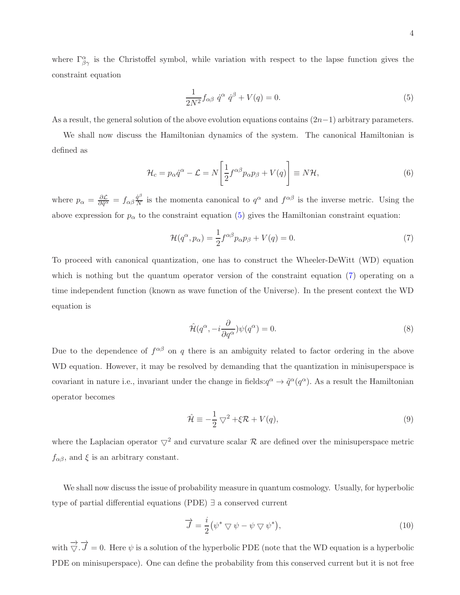where  $\Gamma^{\alpha}_{\beta\gamma}$  is the Christoffel symbol, while variation with respect to the lapse function gives the constraint equation

<span id="page-3-0"></span>
$$
\frac{1}{2N^2} f_{\alpha\beta} \dot{q}^\alpha \dot{q}^\beta + V(q) = 0. \tag{5}
$$

As a result, the general solution of the above evolution equations contains  $(2n-1)$  arbitrary parameters.

We shall now discuss the Hamiltonian dynamics of the system. The canonical Hamiltonian is defined as

$$
\mathcal{H}_c = p_\alpha \dot{q}^\alpha - \mathcal{L} = N \left[ \frac{1}{2} f^{\alpha \beta} p_\alpha p_\beta + V(q) \right] \equiv N \mathcal{H},\tag{6}
$$

where  $p_{\alpha} = \frac{\partial \mathcal{L}}{\partial \dot{q}^{\alpha}} = f_{\alpha\beta} \frac{\dot{q}^{\beta}}{N}$  $\frac{\dot{q}^{\rho}}{N}$  is the momenta canonical to  $q^{\alpha}$  and  $f^{\alpha\beta}$  is the inverse metric. Using the above expression for  $p_{\alpha}$  to the constraint equation [\(5\)](#page-3-0) gives the Hamiltonian constraint equation:

<span id="page-3-1"></span>
$$
\mathcal{H}(q^{\alpha}, p_{\alpha}) = \frac{1}{2} f^{\alpha \beta} p_{\alpha} p_{\beta} + V(q) = 0.
$$
 (7)

To proceed with canonical quantization, one has to construct the Wheeler-DeWitt (WD) equation which is nothing but the quantum operator version of the constraint equation [\(7\)](#page-3-1) operating on a time independent function (known as wave function of the Universe). In the present context the WD equation is

$$
\hat{\mathcal{H}}(q^{\alpha}, -i\frac{\partial}{\partial q^{\alpha}})\psi(q^{\alpha}) = 0.
$$
\n(8)

Due to the dependence of  $f^{\alpha\beta}$  on q there is an ambiguity related to factor ordering in the above WD equation. However, it may be resolved by demanding that the quantization in minisuperspace is covariant in nature i.e., invariant under the change in fields: $q^{\alpha} \to \tilde{q}^{\alpha}(q^{\alpha})$ . As a result the Hamiltonian operator becomes

$$
\hat{\mathcal{H}} \equiv -\frac{1}{2} \nabla^2 + \xi \mathcal{R} + V(q),\tag{9}
$$

where the Laplacian operator  $\nabla^2$  and curvature scalar R are defined over the minisuperspace metric  $f_{\alpha\beta}$ , and  $\xi$  is an arbitrary constant.

We shall now discuss the issue of probability measure in quantum cosmology. Usually, for hyperbolic type of partial differential equations (PDE) ∃ a conserved current

$$
\overrightarrow{J} = \frac{i}{2} (\psi^* \nabla \psi - \psi \nabla \psi^*), \qquad (10)
$$

with  $\overrightarrow{\nabla} \cdot \overrightarrow{J} = 0$ . Here  $\psi$  is a solution of the hyperbolic PDE (note that the WD equation is a hyperbolic PDE on minisuperspace). One can define the probability from this conserved current but it is not free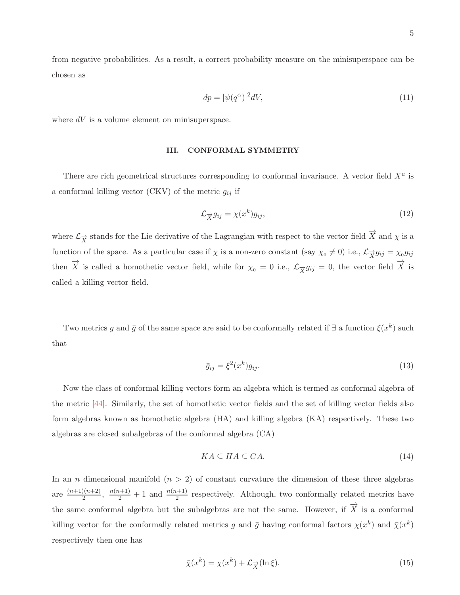from negative probabilities. As a result, a correct probability measure on the minisuperspace can be chosen as

$$
dp = |\psi(q^{\alpha})|^2 dV,\tag{11}
$$

where  $dV$  is a volume element on minisuperspace.

### III. CONFORMAL SYMMETRY

There are rich geometrical structures corresponding to conformal invariance. A vector field  $X^a$  is a conformal killing vector (CKV) of the metric  $g_{ij}$  if

$$
\mathcal{L}_{\overrightarrow{X}} g_{ij} = \chi(x^k) g_{ij},\tag{12}
$$

where  $\mathcal{L}_{\overrightarrow{X}}$  stands for the Lie derivative of the Lagrangian with respect to the vector field  $\overrightarrow{X}$  and  $\chi$  is a function of the space. As a particular case if  $\chi$  is a non-zero constant (say  $\chi_0 \neq 0$ ) i.e.,  $\mathcal{L}_{\overrightarrow{X}} g_{ij} = \chi_0 g_{ij}$ then  $\overrightarrow{X}$  is called a homothetic vector field, while for  $\chi_0 = 0$  i.e.,  $\mathcal{L}_{\overrightarrow{X}} g_{ij} = 0$ , the vector field  $\overrightarrow{X}$  is called a killing vector field.

Two metrics g and  $\bar{g}$  of the same space are said to be conformally related if  $\exists$  a function  $\xi(x^k)$  such that

$$
\bar{g}_{ij} = \xi^2(x^k)g_{ij}.\tag{13}
$$

Now the class of conformal killing vectors form an algebra which is termed as conformal algebra of the metric [\[44\]](#page-19-6). Similarly, the set of homothetic vector fields and the set of killing vector fields also form algebras known as homothetic algebra (HA) and killing algebra (KA) respectively. These two algebras are closed subalgebras of the conformal algebra (CA)

$$
KA \subseteq HA \subseteq CA. \tag{14}
$$

In an *n* dimensional manifold  $(n > 2)$  of constant curvature the dimension of these three algebras are  $\frac{(n+1)(n+2)}{2}$  $\frac{n(n+1)}{2}$ ,  $\frac{n(n+1)}{2}$  + 1 and  $\frac{n(n+1)}{2}$  respectively. Although, two conformally related metrics have the same conformal algebra but the subalgebras are not the same. However, if  $\overrightarrow{X}$  is a conformal killing vector for the conformally related metrics g and  $\bar{g}$  having conformal factors  $\chi(x^k)$  and  $\bar{\chi}(x^k)$ respectively then one has

$$
\bar{\chi}(x^k) = \chi(x^k) + \mathcal{L}_{\vec{X}}(\ln \xi). \tag{15}
$$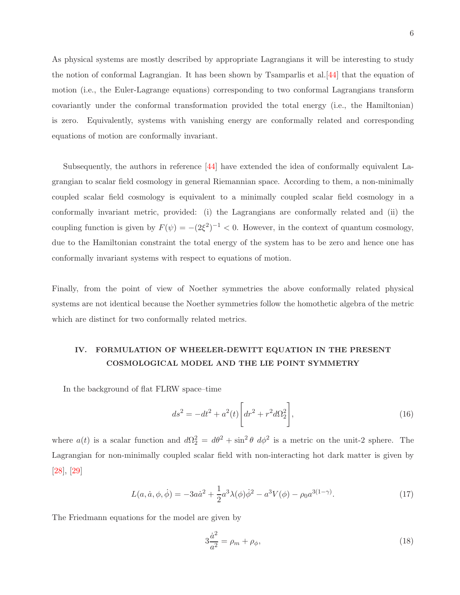As physical systems are mostly described by appropriate Lagrangians it will be interesting to study the notion of conformal Lagrangian. It has been shown by Tsamparlis et al.[\[44](#page-19-6)] that the equation of motion (i.e., the Euler-Lagrange equations) corresponding to two conformal Lagrangians transform covariantly under the conformal transformation provided the total energy (i.e., the Hamiltonian) is zero. Equivalently, systems with vanishing energy are conformally related and corresponding equations of motion are conformally invariant.

Subsequently, the authors in reference [\[44](#page-19-6)] have extended the idea of conformally equivalent Lagrangian to scalar field cosmology in general Riemannian space. According to them, a non-minimally coupled scalar field cosmology is equivalent to a minimally coupled scalar field cosmology in a conformally invariant metric, provided: (i) the Lagrangians are conformally related and (ii) the coupling function is given by  $F(\psi) = -(2\xi^2)^{-1} < 0$ . However, in the context of quantum cosmology, due to the Hamiltonian constraint the total energy of the system has to be zero and hence one has conformally invariant systems with respect to equations of motion.

Finally, from the point of view of Noether symmetries the above conformally related physical systems are not identical because the Noether symmetries follow the homothetic algebra of the metric which are distinct for two conformally related metrics.

# IV. FORMULATION OF WHEELER-DEWITT EQUATION IN THE PRESENT COSMOLOGICAL MODEL AND THE LIE POINT SYMMETRY

In the background of flat FLRW space–time

$$
ds^{2} = -dt^{2} + a^{2}(t) \left[ dr^{2} + r^{2} d\Omega_{2}^{2} \right],
$$
\n(16)

<span id="page-5-0"></span>where  $a(t)$  is a scalar function and  $d\Omega_2^2 = d\theta^2 + \sin^2 \theta \ d\phi^2$  is a metric on the unit-2 sphere. The Lagrangian for non-minimally coupled scalar field with non-interacting hot dark matter is given by [\[28](#page-18-8)], [\[29\]](#page-18-9)

$$
L(a, \dot{a}, \phi, \dot{\phi}) = -3a\dot{a}^2 + \frac{1}{2}a^3\lambda(\phi)\dot{\phi}^2 - a^3V(\phi) - \rho_0 a^{3(1-\gamma)}.
$$
 (17)

The Friedmann equations for the model are given by

<span id="page-5-1"></span>
$$
3\frac{\dot{a}^2}{a^2} = \rho_m + \rho_\phi,\tag{18}
$$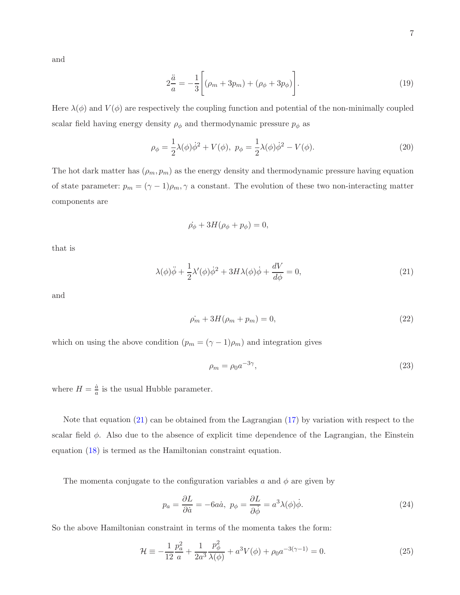and

$$
2\frac{\ddot{a}}{a} = -\frac{1}{3} \bigg[ (\rho_m + 3p_m) + (\rho_\phi + 3p_\phi) \bigg]. \tag{19}
$$

Here  $\lambda(\phi)$  and  $V(\phi)$  are respectively the coupling function and potential of the non-minimally coupled scalar field having energy density  $\rho_{\phi}$  and thermodynamic pressure  $p_{\phi}$  as

$$
\rho_{\phi} = \frac{1}{2}\lambda(\phi)\dot{\phi}^{2} + V(\phi), \ p_{\phi} = \frac{1}{2}\lambda(\phi)\dot{\phi}^{2} - V(\phi).
$$
 (20)

The hot dark matter has  $(\rho_m, p_m)$  as the energy density and thermodynamic pressure having equation of state parameter:  $p_m = (\gamma - 1)\rho_m$ ,  $\gamma$  a constant. The evolution of these two non-interacting matter components are

$$
\dot{\rho_{\phi}} + 3H(\rho_{\phi} + p_{\phi}) = 0,
$$

that is

<span id="page-6-0"></span>
$$
\lambda(\phi)\ddot{\phi} + \frac{1}{2}\lambda'(\phi)\dot{\phi}^2 + 3H\lambda(\phi)\dot{\phi} + \frac{dV}{d\phi} = 0,
$$
\n(21)

and

$$
\dot{\rho_m} + 3H(\rho_m + p_m) = 0,\tag{22}
$$

which on using the above condition  $(p_m = (\gamma - 1)\rho_m)$  and integration gives

$$
\rho_m = \rho_0 a^{-3\gamma},\tag{23}
$$

where  $H = \frac{\dot{a}}{a}$  is the usual Hubble parameter.

Note that equation [\(21\)](#page-6-0) can be obtained from the Lagrangian [\(17\)](#page-5-0) by variation with respect to the scalar field  $\phi$ . Also due to the absence of explicit time dependence of the Lagrangian, the Einstein equation [\(18\)](#page-5-1) is termed as the Hamiltonian constraint equation.

The momenta conjugate to the configuration variables a and  $\phi$  are given by

$$
p_a = \frac{\partial L}{\partial \dot{a}} = -6a\dot{a}, \ p_\phi = \frac{\partial L}{\partial \dot{\phi}} = a^3 \lambda(\phi)\dot{\phi}.
$$
 (24)

So the above Hamiltonian constraint in terms of the momenta takes the form:

$$
\mathcal{H} \equiv -\frac{1}{12} \frac{p_a^2}{a} + \frac{1}{2a^3} \frac{p_\phi^2}{\lambda(\phi)} + a^3 V(\phi) + \rho_0 a^{-3(\gamma - 1)} = 0. \tag{25}
$$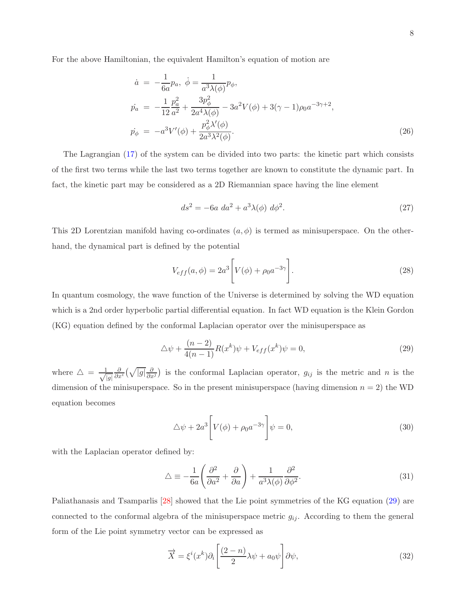For the above Hamiltonian, the equivalent Hamilton's equation of motion are

$$
\dot{a} = -\frac{1}{6a}p_a, \ \dot{\phi} = \frac{1}{a^3\lambda(\phi)}p_{\phi}, \n\dot{p}_a = -\frac{1}{12}\frac{p_a^2}{a^2} + \frac{3p_{\phi}^2}{2a^4\lambda(\phi)} - 3a^2V(\phi) + 3(\gamma - 1)\rho_0 a^{-3\gamma + 2}, \n\dot{p}_{\phi} = -a^3V'(\phi) + \frac{p_{\phi}^2\lambda'(\phi)}{2a^3\lambda^2(\phi)}.
$$
\n(26)

The Lagrangian [\(17\)](#page-5-0) of the system can be divided into two parts: the kinetic part which consists of the first two terms while the last two terms together are known to constitute the dynamic part. In fact, the kinetic part may be considered as a 2D Riemannian space having the line element

$$
ds^{2} = -6a \, da^{2} + a^{3} \lambda(\phi) \, d\phi^{2}.
$$
 (27)

This 2D Lorentzian manifold having co-ordinates  $(a, \phi)$  is termed as minisuperspace. On the otherhand, the dynamical part is defined by the potential

<span id="page-7-0"></span>
$$
V_{eff}(a,\phi) = 2a^3 \left[ V(\phi) + \rho_0 a^{-3\gamma} \right].
$$
 (28)

In quantum cosmology, the wave function of the Universe is determined by solving the WD equation which is a 2nd order hyperbolic partial differential equation. In fact WD equation is the Klein Gordon (KG) equation defined by the conformal Laplacian operator over the minisuperspace as

$$
\Delta \psi + \frac{(n-2)}{4(n-1)} R(x^k) \psi + V_{eff}(x^k) \psi = 0,
$$
\n(29)

where  $\triangle = \frac{1}{\sqrt{2}}$  $|g|$  $\frac{\partial}{\partial x^i}(\sqrt{|g|}\frac{\partial}{\partial x^j})$  is the conformal Laplacian operator,  $g_{ij}$  is the metric and n is the dimension of the minisuperspace. So in the present minisuperspace (having dimension  $n = 2$ ) the WD equation becomes

<span id="page-7-2"></span>
$$
\Delta \psi + 2a^3 \left[ V(\phi) + \rho_0 a^{-3\gamma} \right] \psi = 0, \tag{30}
$$

with the Laplacian operator defined by:

$$
\triangle \equiv -\frac{1}{6a} \left( \frac{\partial^2}{\partial a^2} + \frac{\partial}{\partial a} \right) + \frac{1}{a^3 \lambda(\phi)} \frac{\partial^2}{\partial \phi^2}.
$$
\n(31)

Paliathanasis and Tsamparlis [\[28](#page-18-8)] showed that the Lie point symmetries of the KG equation [\(29\)](#page-7-0) are connected to the conformal algebra of the minisuperspace metric  $g_{ij}$ . According to them the general form of the Lie point symmetry vector can be expressed as

<span id="page-7-1"></span>
$$
\overrightarrow{X} = \xi^{i}(x^{k})\partial_{i}\left[\frac{(2-n)}{2}\lambda\psi + a_{0}\psi\right]\partial\psi,
$$
\n(32)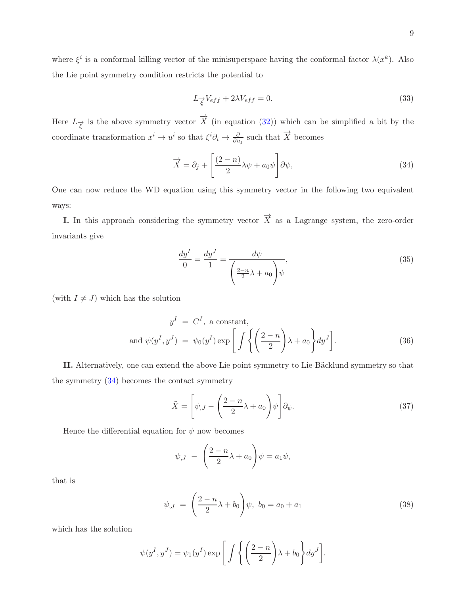where  $\xi^i$  is a conformal killing vector of the minisuperspace having the conformal factor  $\lambda(x^k)$ . Also the Lie point symmetry condition restricts the potential to

<span id="page-8-0"></span>
$$
L_{\vec{\xi}}V_{eff} + 2\lambda V_{eff} = 0. \tag{33}
$$

Here  $L_{\vec{\xi}}$  is the above symmetry vector  $\vec{X}$  (in equation [\(32\)](#page-7-1)) which can be simplified a bit by the coordinate transformation  $x^i \to u^i$  so that  $\xi^i \partial_i \to \frac{\partial}{\partial u_j}$  such that  $\overrightarrow{X}$  becomes

$$
\overrightarrow{X} = \partial_j + \left[ \frac{(2-n)}{2} \lambda \psi + a_0 \psi \right] \partial \psi,
$$
\n(34)

One can now reduce the WD equation using this symmetry vector in the following two equivalent ways:

**I.** In this approach considering the symmetry vector  $\overrightarrow{X}$  as a Lagrange system, the zero-order invariants give

$$
\frac{dy^I}{0} = \frac{dy^J}{1} = \frac{d\psi}{\left(\frac{2-n}{2}\lambda + a_0\right)\psi},\tag{35}
$$

(with  $I \neq J$ ) which has the solution

$$
y^{I} = C^{I}, \text{ a constant},
$$
  
and  $\psi(y^{I}, y^{J}) = \psi_{0}(y^{I}) \exp\left[\int \left\{ \left(\frac{2-n}{2}\right)\lambda + a_{0} \right\} dy^{J} \right].$  (36)

II. Alternatively, one can extend the above Lie point symmetry to Lie-Bäcklund symmetry so that the symmetry  $(34)$  becomes the contact symmetry

$$
\tilde{X} = \left[ \psi_{,J} - \left( \frac{2 - n}{2} \lambda + a_0 \right) \psi \right] \partial_{\psi}.
$$
\n(37)

Hence the differential equation for  $\psi$  now becomes

$$
\psi_{,J} - \left(\frac{2-n}{2}\lambda + a_0\right)\psi = a_1\psi,
$$

that is

$$
\psi_{,J} = \left(\frac{2-n}{2}\lambda + b_0\right)\psi, \ b_0 = a_0 + a_1 \tag{38}
$$

which has the solution

$$
\psi(y^I, y^J) = \psi_1(y^I) \exp\left[\int \left\{ \left(\frac{2-n}{2}\right)\lambda + b_0\right\} dy^J\right].
$$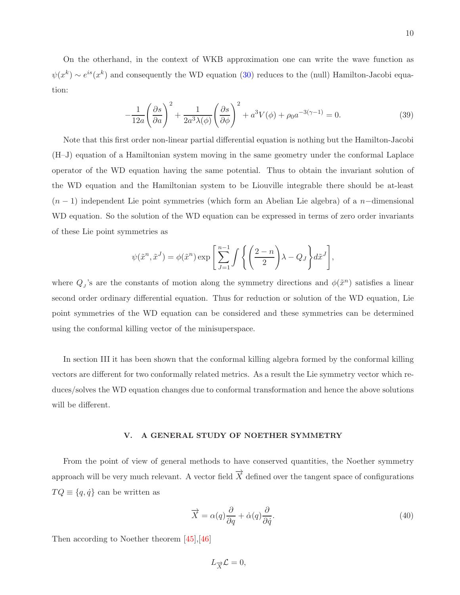On the otherhand, in the context of WKB approximation one can write the wave function as  $\psi(x^k) \sim e^{is}(x^k)$  and consequently the WD equation [\(30\)](#page-7-2) reduces to the (null) Hamilton-Jacobi equation:

$$
-\frac{1}{12a} \left(\frac{\partial s}{\partial a}\right)^2 + \frac{1}{2a^3\lambda(\phi)} \left(\frac{\partial s}{\partial \phi}\right)^2 + a^3 V(\phi) + \rho_0 a^{-3(\gamma - 1)} = 0.
$$
 (39)

Note that this first order non-linear partial differential equation is nothing but the Hamilton-Jacobi (H–J) equation of a Hamiltonian system moving in the same geometry under the conformal Laplace operator of the WD equation having the same potential. Thus to obtain the invariant solution of the WD equation and the Hamiltonian system to be Liouville integrable there should be at-least  $(n-1)$  independent Lie point symmetries (which form an Abelian Lie algebra) of a n-dimensional WD equation. So the solution of the WD equation can be expressed in terms of zero order invariants of these Lie point symmetries as

$$
\psi(\tilde{x}^n, \tilde{x}^J) = \phi(\tilde{x}^n) \exp\left[\sum_{J=1}^{n-1} \int \left\{ \left(\frac{2-n}{2}\right) \lambda - Q_J \right\} d\tilde{x}^J \right],
$$

where  $Q_j$ 's are the constants of motion along the symmetry directions and  $\phi(\tilde{x}^n)$  satisfies a linear second order ordinary differential equation. Thus for reduction or solution of the WD equation, Lie point symmetries of the WD equation can be considered and these symmetries can be determined using the conformal killing vector of the minisuperspace.

In section III it has been shown that the conformal killing algebra formed by the conformal killing vectors are different for two conformally related metrics. As a result the Lie symmetry vector which reduces/solves the WD equation changes due to conformal transformation and hence the above solutions will be different.

### V. A GENERAL STUDY OF NOETHER SYMMETRY

From the point of view of general methods to have conserved quantities, the Noether symmetry approach will be very much relevant. A vector field  $\overrightarrow{X}$  defined over the tangent space of configurations  $TQ \equiv \{q, \dot{q}\}\)$  can be written as

$$
\overrightarrow{X} = \alpha(q)\frac{\partial}{\partial q} + \dot{\alpha}(q)\frac{\partial}{\partial \dot{q}}.
$$
\n(40)

Then according to Noether theorem [\[45](#page-19-7)],[\[46](#page-20-0)]

 $L_{\overrightarrow{X}}\mathcal{L}=0,$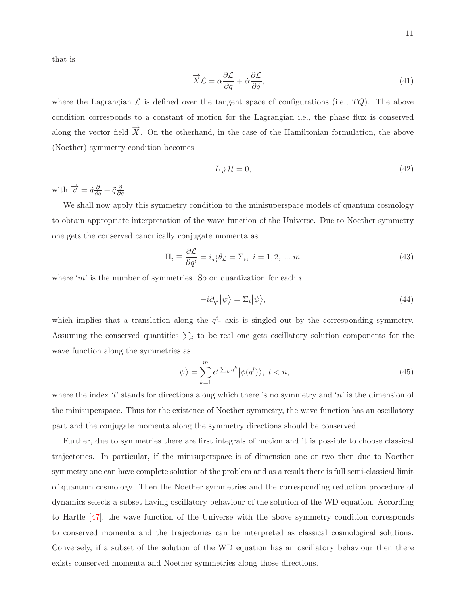that is

$$
\vec{X}\mathcal{L} = \alpha \frac{\partial \mathcal{L}}{\partial q} + \dot{\alpha} \frac{\partial \mathcal{L}}{\partial \dot{q}},\tag{41}
$$

where the Lagrangian  $\mathcal L$  is defined over the tangent space of configurations (i.e.,  $TQ$ ). The above condition corresponds to a constant of motion for the Lagrangian i.e., the phase flux is conserved along the vector field  $\overrightarrow{X}$ . On the otherhand, in the case of the Hamiltonian formulation, the above (Noether) symmetry condition becomes

$$
L_{\vec{v}}\mathcal{H} = 0,\t\t(42)
$$

with  $\overrightarrow{v} = \dot{q}\frac{\partial}{\partial q} + \ddot{q}\frac{\partial}{\partial q}$  $\frac{\partial}{\partial \dot{q}}.$ 

We shall now apply this symmetry condition to the minisuperspace models of quantum cosmology to obtain appropriate interpretation of the wave function of the Universe. Due to Noether symmetry one gets the conserved canonically conjugate momenta as

$$
\Pi_i \equiv \frac{\partial \mathcal{L}}{\partial q^i} = i_{\overrightarrow{x_i}} \theta \mathcal{L} = \Sigma_i, \ i = 1, 2, \dots m \tag{43}
$$

where 'm' is the number of symmetries. So on quantization for each  $i$ 

$$
-i\partial_{q^i}|\psi\rangle = \Sigma_i|\psi\rangle,\tag{44}
$$

which implies that a translation along the  $q^i$ - axis is singled out by the corresponding symmetry. Assuming the conserved quantities  $\sum_i$  to be real one gets oscillatory solution components for the wave function along the symmetries as

$$
|\psi\rangle = \sum_{k=1}^{m} e^{i \sum_{k} q^{k}} |\phi(q^{l})\rangle, \ l < n,\tag{45}
$$

where the index 'l' stands for directions along which there is no symmetry and 'n' is the dimension of the minisuperspace. Thus for the existence of Noether symmetry, the wave function has an oscillatory part and the conjugate momenta along the symmetry directions should be conserved.

Further, due to symmetries there are first integrals of motion and it is possible to choose classical trajectories. In particular, if the minisuperspace is of dimension one or two then due to Noether symmetry one can have complete solution of the problem and as a result there is full semi-classical limit of quantum cosmology. Then the Noether symmetries and the corresponding reduction procedure of dynamics selects a subset having oscillatory behaviour of the solution of the WD equation. According to Hartle [\[47](#page-20-1)], the wave function of the Universe with the above symmetry condition corresponds to conserved momenta and the trajectories can be interpreted as classical cosmological solutions. Conversely, if a subset of the solution of the WD equation has an oscillatory behaviour then there exists conserved momenta and Noether symmetries along those directions.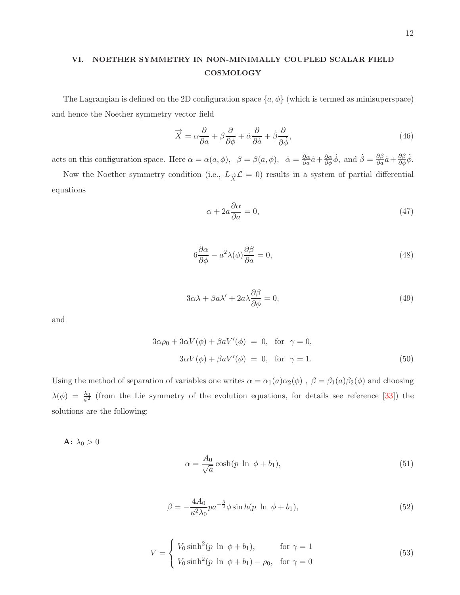# VI. NOETHER SYMMETRY IN NON-MINIMALLY COUPLED SCALAR FIELD COSMOLOGY

The Lagrangian is defined on the 2D configuration space  $\{a, \phi\}$  (which is termed as minisuperspace) and hence the Noether symmetry vector field

$$
\vec{X} = \alpha \frac{\partial}{\partial a} + \beta \frac{\partial}{\partial \phi} + \dot{\alpha} \frac{\partial}{\partial \dot{a}} + \dot{\beta} \frac{\partial}{\partial \dot{\phi}},\tag{46}
$$

acts on this configuration space. Here  $\alpha = \alpha(a, \phi)$ ,  $\beta = \beta(a, \phi)$ ,  $\dot{\alpha} = \frac{\partial \alpha}{\partial a}\dot{a} + \frac{\partial \alpha}{\partial \phi}\dot{\phi}$ , and  $\dot{\beta} = \frac{\partial \beta}{\partial a}\dot{a} + \frac{\partial \beta}{\partial \phi}\dot{\phi}$ .

Now the Noether symmetry condition (i.e.,  $L_{\overrightarrow{X}}\mathcal{L}=0$ ) results in a system of partial differential equations

$$
\alpha + 2a \frac{\partial \alpha}{\partial a} = 0,\tag{47}
$$

$$
6\frac{\partial \alpha}{\partial \phi} - a^2 \lambda(\phi) \frac{\partial \beta}{\partial a} = 0,
$$
\n(48)

$$
3\alpha\lambda + \beta a\lambda' + 2a\lambda \frac{\partial \beta}{\partial \phi} = 0,\tag{49}
$$

and

$$
3\alpha \rho_0 + 3\alpha V(\phi) + \beta a V'(\phi) = 0, \text{ for } \gamma = 0,
$$
  

$$
3\alpha V(\phi) + \beta a V'(\phi) = 0, \text{ for } \gamma = 1.
$$
 (50)

Using the method of separation of variables one writes  $\alpha = \alpha_1(a)\alpha_2(\phi)$ ,  $\beta = \beta_1(a)\beta_2(\phi)$  and choosing  $\lambda(\phi) = \frac{\lambda_0}{\phi^2}$  (from the Lie symmetry of the evolution equations, for details see reference [\[33](#page-18-7)]) the solutions are the following:

A:  $\lambda_0 > 0$ 

$$
\alpha = \frac{A_0}{\sqrt{a}} \cosh(p \ln \phi + b_1), \tag{51}
$$

$$
\beta = -\frac{4A_0}{\kappa^2 \lambda_0} p a^{-\frac{3}{2}} \phi \sin h(p \ln \phi + b_1), \tag{52}
$$

$$
V = \begin{cases} V_0 \sinh^2(p \ln \phi + b_1), & \text{for } \gamma = 1\\ V_0 \sinh^2(p \ln \phi + b_1) - \rho_0, & \text{for } \gamma = 0 \end{cases}
$$
 (53)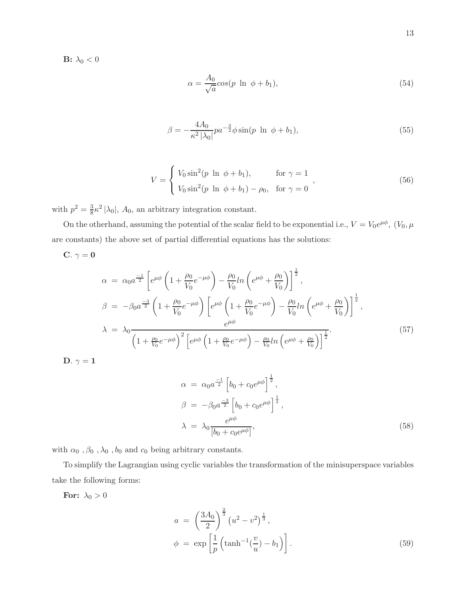B:  $\lambda_0 < 0$ 

$$
\alpha = \frac{A_0}{\sqrt{a}} \cos(p \ln \phi + b_1),\tag{54}
$$

$$
\beta = -\frac{4A_0}{\kappa^2 |\lambda_0|} p a^{-\frac{3}{2}} \phi \sin(p \ln \phi + b_1), \tag{55}
$$

$$
V = \begin{cases} V_0 \sin^2(p \ln \phi + b_1), & \text{for } \gamma = 1 \\ V_0 \sin^2(p \ln \phi + b_1) - \rho_0, & \text{for } \gamma = 0 \end{cases},
$$
 (56)

with  $p^2 = \frac{3}{8}$  $\frac{3}{8}\kappa^2 |\lambda_0|$ ,  $A_0$ , an arbitrary integration constant.

On the otherhand, assuming the potential of the scalar field to be exponential i.e.,  $V = V_0 e^{\mu \phi}$ ,  $(V_0, \mu)$ are constants) the above set of partial differential equations has the solutions:

$$
C. \ \gamma = 0
$$

$$
\alpha = \alpha_0 a^{\frac{-1}{2}} \left[ e^{\mu \phi} \left( 1 + \frac{\rho_0}{V_0} e^{-\mu \phi} \right) - \frac{\rho_0}{V_0} ln \left( e^{\mu \phi} + \frac{\rho_0}{V_0} \right) \right]^{\frac{1}{2}},
$$
  
\n
$$
\beta = -\beta_0 a^{\frac{-3}{2}} \left( 1 + \frac{\rho_0}{V_0} e^{-\mu \phi} \right) \left[ e^{\mu \phi} \left( 1 + \frac{\rho_0}{V_0} e^{-\mu \phi} \right) - \frac{\rho_0}{V_0} ln \left( e^{\mu \phi} + \frac{\rho_0}{V_0} \right) \right]^{\frac{1}{2}},
$$
  
\n
$$
\lambda = \lambda_0 \frac{e^{\mu \phi}}{\left( 1 + \frac{\rho_0}{V_0} e^{-\mu \phi} \right)^2 \left[ e^{\mu \phi} \left( 1 + \frac{\rho_0}{V_0} e^{-\mu \phi} \right) - \frac{\rho_0}{V_0} ln \left( e^{\mu \phi} + \frac{\rho_0}{V_0} \right) \right]^{\frac{1}{2}}}.
$$
  
\nD.  $\gamma = 1$  (57)

$$
\alpha = \alpha_0 a^{\frac{-1}{2}} \left[ b_0 + c_0 e^{\mu \phi} \right]^{\frac{1}{2}},
$$
  
\n
$$
\beta = -\beta_0 a^{\frac{-3}{2}} \left[ b_0 + c_0 e^{\mu \phi} \right]^{\frac{1}{2}},
$$
  
\n
$$
\lambda = \lambda_0 \frac{e^{\mu \phi}}{\left[ b_0 + c_0 e^{\mu \phi} \right]},
$$
\n(58)

with  $\alpha_0$  ,  $\beta_0$  ,  $\lambda_0$  ,  $b_0$  and  $c_0$  being arbitrary constants.

To simplify the Lagrangian using cyclic variables the transformation of the minisuperspace variables take the following forms:

For:  $\lambda_0 > 0$ 

$$
a = \left(\frac{3A_0}{2}\right)^{\frac{2}{3}} \left(u^2 - v^2\right)^{\frac{1}{3}},
$$
  
\n
$$
\phi = \exp\left[\frac{1}{p}\left(\tanh^{-1}(\frac{v}{u}) - b_1\right)\right].
$$
\n(59)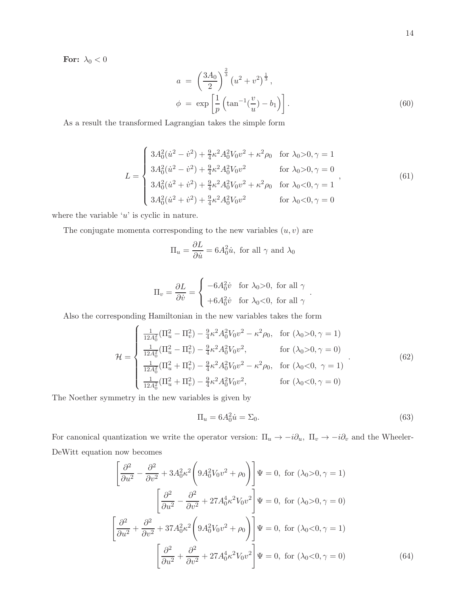For:  $\lambda_0 < 0$ 

$$
a = \left(\frac{3A_0}{2}\right)^{\frac{2}{3}} \left(u^2 + v^2\right)^{\frac{1}{3}},
$$
  
\n
$$
\phi = \exp\left[\frac{1}{p}\left(\tan^{-1}(\frac{v}{u}) - b_1\right)\right].
$$
\n(60)

As a result the transformed Lagrangian takes the simple form

$$
L = \begin{cases} 3A_0^2(\dot{u}^2 - \dot{v}^2) + \frac{9}{4}\kappa^2 A_0^2 V_0 v^2 + \kappa^2 \rho_0 & \text{for } \lambda_0 > 0, \gamma = 1\\ 3A_0^2(\dot{u}^2 - \dot{v}^2) + \frac{9}{4}\kappa^2 A_0^2 V_0 v^2 & \text{for } \lambda_0 > 0, \gamma = 0\\ 3A_0^2(\dot{u}^2 + \dot{v}^2) + \frac{9}{4}\kappa^2 A_0^2 V_0 v^2 + \kappa^2 \rho_0 & \text{for } \lambda_0 < 0, \gamma = 1\\ 3A_0^2(\dot{u}^2 + \dot{v}^2) + \frac{9}{4}\kappa^2 A_0^2 V_0 v^2 & \text{for } \lambda_0 < 0, \gamma = 0 \end{cases}
$$
(61)

where the variable  $'u'$  is cyclic in nature.

The conjugate momenta corresponding to the new variables  $(u, v)$  are

$$
\Pi_u = \frac{\partial L}{\partial \dot{u}} = 6A_0^2 \dot{u}, \text{ for all } \gamma \text{ and } \lambda_0
$$

$$
\Pi_v = \frac{\partial L}{\partial \dot{v}} = \begin{cases}\n-6A_0^2 \dot{v} & \text{for } \lambda_0 > 0, \text{ for all } \gamma \\
+6A_0^2 \dot{v} & \text{for } \lambda_0 < 0, \text{ for all } \gamma\n\end{cases}.
$$

Also the corresponding Hamiltonian in the new variables takes the form

$$
\mathcal{H} = \begin{cases}\n\frac{1}{12A_0^2} (\Pi_u^2 - \Pi_v^2) - \frac{9}{4} \kappa^2 A_0^2 V_0 v^2 - \kappa^2 \rho_0, & \text{for } (\lambda_0 > 0, \gamma = 1) \\
\frac{1}{12A_0^2} (\Pi_u^2 - \Pi_v^2) - \frac{9}{4} \kappa^2 A_0^2 V_0 v^2, & \text{for } (\lambda_0 > 0, \gamma = 0) \\
\frac{1}{12A_0^2} (\Pi_u^2 + \Pi_v^2) - \frac{9}{4} \kappa^2 A_0^2 V_0 v^2 - \kappa^2 \rho_0, & \text{for } (\lambda_0 < 0, \gamma = 1) \\
\frac{1}{12A_0^2} (\Pi_u^2 + \Pi_v^2) - \frac{9}{4} \kappa^2 A_0^2 V_0 v^2, & \text{for } (\lambda_0 < 0, \gamma = 0)\n\end{cases} (62)
$$

The Noether symmetry in the new variables is given by

$$
\Pi_u = 6A_0^2 \dot{u} = \Sigma_0. \tag{63}
$$

For canonical quantization we write the operator version:  $\Pi_u \to -i\partial_u$ ,  $\Pi_v \to -i\partial_v$  and the Wheeler-DeWitt equation now becomes

$$
\left[\frac{\partial^2}{\partial u^2} - \frac{\partial^2}{\partial v^2} + 3A_0^2 \kappa^2 \left(9A_0^2 V_0 v^2 + \rho_0\right)\right] \Psi = 0, \text{ for } (\lambda_0 > 0, \gamma = 1)
$$

$$
\left[\frac{\partial^2}{\partial u^2} - \frac{\partial^2}{\partial v^2} + 27A_0^4 \kappa^2 V_0 v^2\right] \Psi = 0, \text{ for } (\lambda_0 > 0, \gamma = 0)
$$

$$
\left[\frac{\partial^2}{\partial u^2} + \frac{\partial^2}{\partial v^2} + 37A_0^2 \kappa^2 \left(9A_0^2 V_0 v^2 + \rho_0\right)\right] \Psi = 0, \text{ for } (\lambda_0 < 0, \gamma = 1)
$$

$$
\left[\frac{\partial^2}{\partial u^2} + \frac{\partial^2}{\partial v^2} + 27A_0^4 \kappa^2 V_0 v^2\right] \Psi = 0, \text{ for } (\lambda_0 < 0, \gamma = 0)
$$
(64)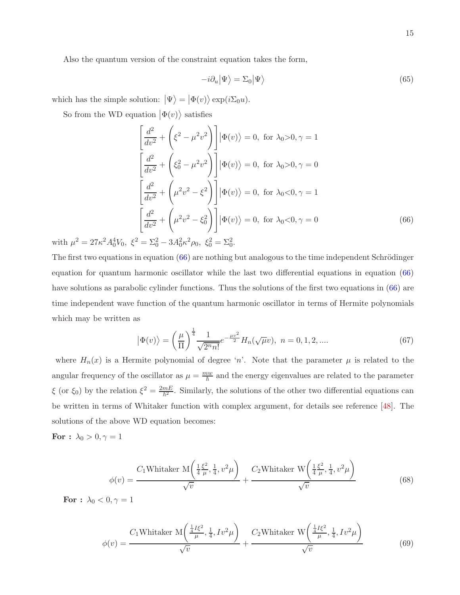Also the quantum version of the constraint equation takes the form,

<span id="page-14-1"></span>
$$
-i\partial_u|\Psi\rangle = \Sigma_0|\Psi\rangle \tag{65}
$$

which has the simple solution:  $|\Psi\rangle = |\Phi(v)\rangle \exp(i\Sigma_0 u)$ .

So from the WD equation  $|\Phi(v)\rangle$  satisfies

<span id="page-14-0"></span>
$$
\left[\frac{d^2}{dv^2} + \left(\xi^2 - \mu^2 v^2\right)\right] |\Phi(v)\rangle = 0, \text{ for } \lambda_0 > 0, \gamma = 1
$$
  

$$
\left[\frac{d^2}{dv^2} + \left(\xi_0^2 - \mu^2 v^2\right)\right] |\Phi(v)\rangle = 0, \text{ for } \lambda_0 > 0, \gamma = 0
$$
  

$$
\left[\frac{d^2}{dv^2} + \left(\mu^2 v^2 - \xi^2\right)\right] |\Phi(v)\rangle = 0, \text{ for } \lambda_0 < 0, \gamma = 1
$$
  

$$
\left[\frac{d^2}{dv^2} + \left(\mu^2 v^2 - \xi_0^2\right)\right] |\Phi(v)\rangle = 0, \text{ for } \lambda_0 < 0, \gamma = 0
$$
  

$$
\left[\frac{d^2}{dv^2} + \left(\mu^2 v^2 - \xi_0^2\right)\right] |\Phi(v)\rangle = 0, \text{ for } \lambda_0 < 0, \gamma = 0
$$
 (66)

with  $\mu^2 = 27\kappa^2 A_0^4 V_0$ ,  $\xi^2 = \Sigma_0^2 - 3A_0^2 \kappa^2 \rho_0$ ,  $\xi_0^2 = \Sigma_0^2$ .

The first two equations in equation  $(66)$  are nothing but analogous to the time independent Schrödinger equation for quantum harmonic oscillator while the last two differential equations in equation [\(66\)](#page-14-0) have solutions as parabolic cylinder functions. Thus the solutions of the first two equations in [\(66\)](#page-14-0) are time independent wave function of the quantum harmonic oscillator in terms of Hermite polynomials which may be written as

$$
\left|\Phi(v)\right\rangle = \left(\frac{\mu}{\Pi}\right)^{\frac{1}{4}} \frac{1}{\sqrt{2^n n!}} e^{-\frac{\mu v^2}{2}} H_n(\sqrt{\mu}v), \ n = 0, 1, 2, .... \tag{67}
$$

where  $H_n(x)$  is a Hermite polynomial of degree 'n'. Note that the parameter  $\mu$  is related to the angular frequency of the oscillator as  $\mu = \frac{mw}{\hbar}$  and the energy eigenvalues are related to the parameter  $\xi$  (or  $\xi_0$ ) by the relation  $\xi^2 = \frac{2mE}{\hbar^2}$ . Similarly, the solutions of the other two differential equations can be written in terms of Whitaker function with complex argument, for details see reference [\[48](#page-20-2)]. The solutions of the above WD equation becomes:

<span id="page-14-2"></span>For :  $\lambda_0 > 0, \gamma = 1$ 

$$
\phi(v) = \frac{C_1 \text{Whitaker } \mathcal{M}\left(\frac{1}{4}\frac{\xi^2}{\mu}, \frac{1}{4}, v^2\mu\right)}{\sqrt{v}} + \frac{C_2 \text{Whitaker } \mathcal{W}\left(\frac{1}{4}\frac{\xi^2}{\mu}, \frac{1}{4}, v^2\mu\right)}{\sqrt{v}} \tag{68}
$$

For :  $\lambda_0 < 0, \gamma = 1$ 

$$
\phi(v) = \frac{C_1 \text{Whitaker } \mathcal{M}\left(\frac{\frac{1}{4}I\xi^2}{\mu}, \frac{1}{4}, Iv^2\mu\right)}{\sqrt{v}} + \frac{C_2 \text{Whitaker } \mathcal{W}\left(\frac{\frac{1}{4}I\xi^2}{\mu}, \frac{1}{4}, Iv^2\mu\right)}{\sqrt{v}}
$$
(69)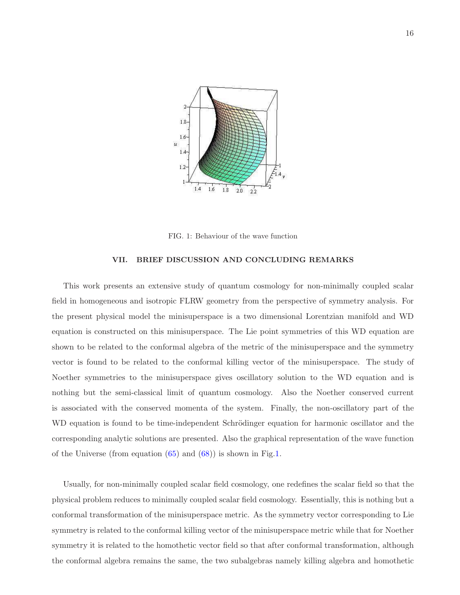

<span id="page-15-0"></span>FIG. 1: Behaviour of the wave function

## VII. BRIEF DISCUSSION AND CONCLUDING REMARKS

This work presents an extensive study of quantum cosmology for non-minimally coupled scalar field in homogeneous and isotropic FLRW geometry from the perspective of symmetry analysis. For the present physical model the minisuperspace is a two dimensional Lorentzian manifold and WD equation is constructed on this minisuperspace. The Lie point symmetries of this WD equation are shown to be related to the conformal algebra of the metric of the minisuperspace and the symmetry vector is found to be related to the conformal killing vector of the minisuperspace. The study of Noether symmetries to the minisuperspace gives oscillatory solution to the WD equation and is nothing but the semi-classical limit of quantum cosmology. Also the Noether conserved current is associated with the conserved momenta of the system. Finally, the non-oscillatory part of the WD equation is found to be time-independent Schrödinger equation for harmonic oscillator and the corresponding analytic solutions are presented. Also the graphical representation of the wave function of the Universe (from equation  $(65)$  and  $(68)$ ) is shown in Fig[.1.](#page-15-0)

Usually, for non-minimally coupled scalar field cosmology, one redefines the scalar field so that the physical problem reduces to minimally coupled scalar field cosmology. Essentially, this is nothing but a conformal transformation of the minisuperspace metric. As the symmetry vector corresponding to Lie symmetry is related to the conformal killing vector of the minisuperspace metric while that for Noether symmetry it is related to the homothetic vector field so that after conformal transformation, although the conformal algebra remains the same, the two subalgebras namely killing algebra and homothetic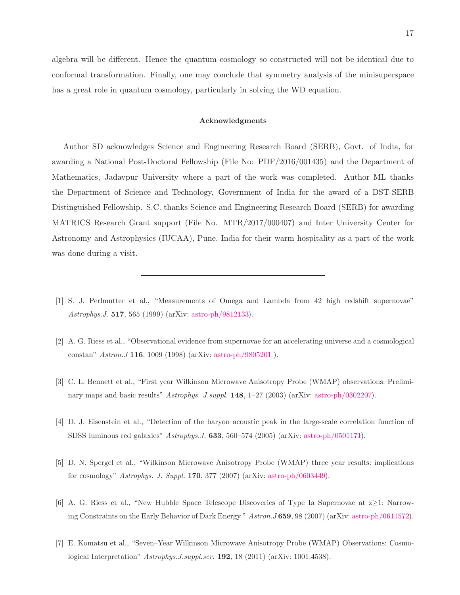algebra will be different. Hence the quantum cosmology so constructed will not be identical due to conformal transformation. Finally, one may conclude that symmetry analysis of the minisuperspace has a great role in quantum cosmology, particularly in solving the WD equation.

#### Acknowledgments

Author SD acknowledges Science and Engineering Research Board (SERB), Govt. of India, for awarding a National Post-Doctoral Fellowship (File No: PDF/2016/001435) and the Department of Mathematics, Jadavpur University where a part of the work was completed. Author ML thanks the Department of Science and Technology, Government of India for the award of a DST-SERB Distinguished Fellowship. S.C. thanks Science and Engineering Research Board (SERB) for awarding MATRICS Research Grant support (File No. MTR/2017/000407) and Inter University Center for Astronomy and Astrophysics (IUCAA), Pune, India for their warm hospitality as a part of the work was done during a visit.

- <span id="page-16-0"></span>[1] S. J. Perlmutter et al., "Measurements of Omega and Lambda from 42 high redshift supernovae" *Astrophys.J.* 517, 565 (1999) (arXiv: [astro-ph/9812133\)](http://arxiv.org/abs/astro-ph/9812133).
- [2] A. G. Riess et al., "Observational evidence from supernovae for an accelerating universe and a cosmological constan" *Astron.J* 116, 1009 (1998) (arXiv: [astro-ph/9805201](http://arxiv.org/abs/astro-ph/9805201) ).
- [3] C. L. Bennett et al., "First year Wilkinson Microwave Anisotropy Probe (WMAP) observations: Preliminary maps and basic results" *Astrophys. J.suppl.* **148**,  $1-27$  (2003) (arXiv: [astro-ph/0302207\)](http://arxiv.org/abs/astro-ph/0302207).
- [4] D. J. Eisenstein et al., "Detection of the baryon acoustic peak in the large-scale correlation function of SDSS luminous red galaxies" *Astrophys.J.* 633, 560–574 (2005) (arXiv: [astro-ph/0501171\)](http://arxiv.org/abs/astro-ph/0501171).
- [5] D. N. Spergel et al., "Wilkinson Microwave Anisotropy Probe (WMAP) three year results: implications for cosmology" *Astrophys. J. Suppl.* 170, 377 (2007) (arXiv: [astro-ph/0603449\)](http://arxiv.org/abs/astro-ph/0603449).
- [6] A. G. Riess et al., "New Hubble Space Telescope Discoveries of Type Ia Supernovae at z≥1: Narrowing Constraints on the Early Behavior of Dark Energy " *Astron.J* 659, 98 (2007) (arXiv: [astro-ph/0611572\)](http://arxiv.org/abs/astro-ph/0611572).
- <span id="page-16-1"></span>[7] E. Komatsu et al., "Seven–Year Wilkinson Microwave Anisotropy Probe (WMAP) Observations: Cosmological Interpretation" *Astrophys.J.suppl.ser.* 192, 18 (2011) (arXiv: 1001.4538).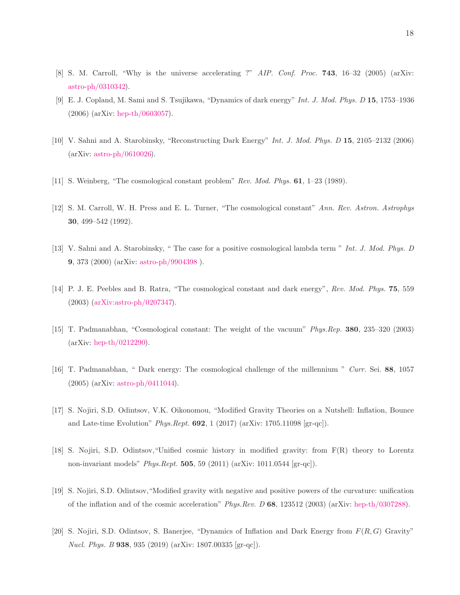- <span id="page-17-0"></span>[8] S. M. Carroll, "Why is the universe accelerating ?" *AIP. Conf. Proc.* 743, 16–32 (2005) (arXiv: [astro-ph/0310342\)](http://arxiv.org/abs/astro-ph/0310342).
- [9] E. J. Copland, M. Sami and S. Tsujikawa, "Dynamics of dark energy" *Int. J. Mod. Phys. D* 15, 1753–1936 (2006) (arXiv: [hep-th/0603057\)](http://arxiv.org/abs/hep-th/0603057).
- <span id="page-17-1"></span>[10] V. Sahni and A. Starobinsky, "Reconstructing Dark Energy" *Int. J. Mod. Phys. D* 15, 2105–2132 (2006) (arXiv: [astro-ph/0610026\)](http://arxiv.org/abs/astro-ph/0610026).
- <span id="page-17-2"></span>[11] S. Weinberg, "The cosmological constant problem" *Rev. Mod. Phys.* 61, 1–23 (1989).
- [12] S. M. Carroll, W. H. Press and E. L. Turner, "The cosmological constant" *Ann. Rev. Astron. Astrophys* 30, 499–542 (1992).
- [13] V. Sahni and A. Starobinsky, " The case for a positive cosmological lambda term " *Int. J. Mod. Phys. D* 9, 373 (2000) (arXiv: [astro-ph/9904398](http://arxiv.org/abs/astro-ph/9904398) ).
- [14] P. J. E. Peebles and B. Ratra, "The cosmological constant and dark energy", *Rev. Mod. Phys.* 75, 559 (2003) [\(arXiv:astro-ph/0207347\)](http://arxiv.org/abs/astro-ph/0207347).
- [15] T. Padmanabhan, "Cosmological constant: The weight of the vacuum" *Phys.Rep.* 380, 235–320 (2003) (arXiv: [hep-th/0212290\)](http://arxiv.org/abs/hep-th/0212290).
- <span id="page-17-3"></span>[16] T. Padmanabhan, " Dark energy: The cosmological challenge of the millennium " *Curr.* Sei. 88, 1057 (2005) (arXiv: [astro-ph/0411044\)](http://arxiv.org/abs/astro-ph/0411044).
- <span id="page-17-4"></span>[17] S. Nojiri, S.D. Odintsov, V.K. Oikonomou, "Modified Gravity Theories on a Nutshell: Inflation, Bounce and Late-time Evolution" *Phys.Rept.* 692, 1 (2017) (arXiv: 1705.11098 [gr-qc]).
- [18] S. Nojiri, S.D. Odintsov,"Unified cosmic history in modified gravity: from F(R) theory to Lorentz non-invariant models" *Phys.Rept.* 505, 59 (2011) (arXiv: 1011.0544 [gr-qc]).
- [19] S. Nojiri, S.D. Odintsov,"Modified gravity with negative and positive powers of the curvature: unification of the inflation and of the cosmic acceleration" *Phys.Rev. D* 68, 123512 (2003) (arXiv: [hep-th/0307288\)](http://arxiv.org/abs/hep-th/0307288).
- [20] S. Nojiri, S.D. Odintsov, S. Banerjee, "Dynamics of Inflation and Dark Energy from  $F(R, G)$  Gravity" *Nucl. Phys. B* 938, 935 (2019) (arXiv: 1807.00335 [gr-qc]).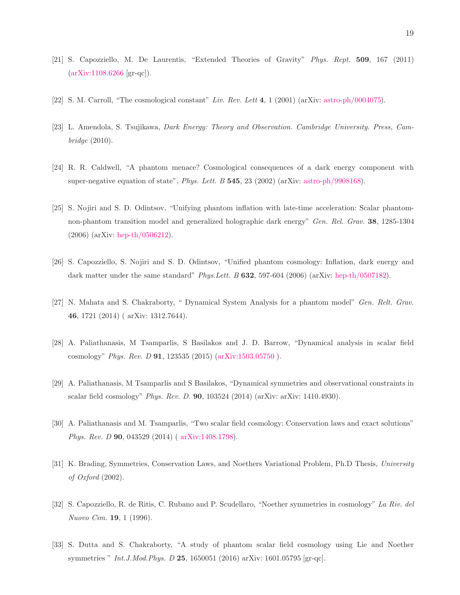- <span id="page-18-0"></span>[21] S. Capozziello, M. De Laurentis, "Extended Theories of Gravity" *Phys. Rept.* 509, 167 (2011) [\(arXiv:1108.6266](http://arxiv.org/abs/1108.6266) [gr-qc]).
- <span id="page-18-1"></span>[22] S. M. Carroll, "The cosmological constant" *Liv. Rev. Lett* 4, 1 (2001) (arXiv: [astro-ph/0004075\)](http://arxiv.org/abs/astro-ph/0004075).
- <span id="page-18-2"></span>[23] L. Amendola, S. Tsujikawa, *Dark Energy: Theory and Observation. Cambridge University. Press, Cambridge* (2010).
- <span id="page-18-3"></span>[24] R. R. Caldwell, "A phantom menace? Cosmological consequences of a dark energy component with super-negative equation of state", *Phys. Lett. B* 545, 23 (2002) (arXiv: [astro-ph/9908168\)](http://arxiv.org/abs/astro-ph/9908168).
- [25] S. Nojiri and S. D. Odintsov, "Unifying phantom inflation with late-time acceleration: Scalar phantomnon-phantom transition model and generalized holographic dark energy" *Gen. Rel. Grav.* 38, 1285-1304 (2006) (arXiv: [hep-th/0506212\)](http://arxiv.org/abs/hep-th/0506212).
- [26] S. Capozziello, S. Nojiri and S. D. Odintsov, "Unified phantom cosmology: Inflation, dark energy and dark matter under the same standard" *Phys.Lett. B* 632, 597-604 (2006) (arXiv: [hep-th/0507182\)](http://arxiv.org/abs/hep-th/0507182).
- [27] N. Mahata and S. Chakraborty, " Dynamical System Analysis for a phantom model" *Gen. Relt. Grav.* 46, 1721 (2014) ( arXiv: 1312.7644).
- <span id="page-18-8"></span>[28] A. Paliathanasis, M Tsamparlis, S Basilakos and J. D. Barrow, "Dynamical analysis in scalar field cosmology" *Phys. Rev. D* 91, 123535 (2015) [\(arXiv:1503.05750](http://arxiv.org/abs/1503.05750) ).
- <span id="page-18-9"></span>[29] A. Paliathanasis, M Tsamparlis and S Basilakos, "Dynamical symmetries and observational constraints in scalar field cosmology" *Phys. Rev. D.* 90, 103524 (2014) (arXiv: arXiv: 1410.4930).
- <span id="page-18-4"></span>[30] A. Paliathanasis and M. Tsamparlis, "Two scalar field cosmology: Conservation laws and exact solutions" *Phys. Rev. D* 90, 043529 (2014) ( [arXiv:1408.1798\)](http://arxiv.org/abs/1408.1798).
- <span id="page-18-5"></span>[31] K. Brading, Symmetries, Conservation Laws, and Noethers Variational Problem, Ph.D Thesis, *University of Oxford* (2002).
- <span id="page-18-6"></span>[32] S. Capozziello, R. de Ritis, C. Rubano and P. Scudellaro, "Noether symmetries in cosmology" *La Riv. del Nuovo Cim.* 19, 1 (1996).
- <span id="page-18-7"></span>[33] S. Dutta and S. Chakraborty, "A study of phantom scalar field cosmology using Lie and Noether symmetries " *Int.J.Mod.Phys. D* 25, 1650051 (2016) arXiv: 1601.05795 [gr-qc].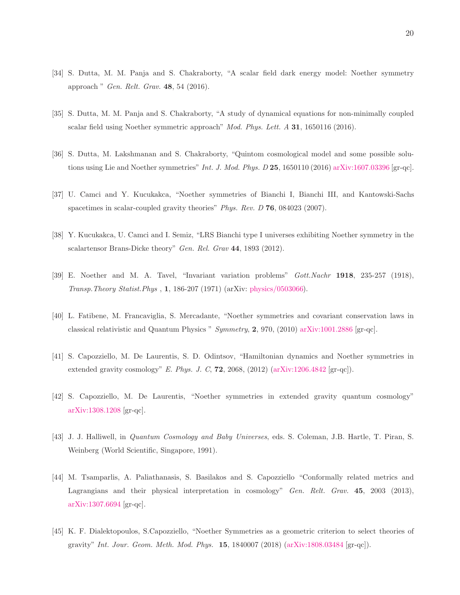- [34] S. Dutta, M. M. Panja and S. Chakraborty, "A scalar field dark energy model: Noether symmetry approach " *Gen. Relt. Grav.* 48, 54 (2016).
- [35] S. Dutta, M. M. Panja and S. Chakraborty, "A study of dynamical equations for non-minimally coupled scalar field using Noether symmetric approach" *Mod. Phys. Lett. A* 31, 1650116 (2016).
- [36] S. Dutta, M. Lakshmanan and S. Chakraborty, "Quintom cosmological model and some possible solutions using Lie and Noether symmetries" *Int. J. Mod. Phys. D* 25, 1650110 (2016) [arXiv:1607.03396](http://arxiv.org/abs/1607.03396) [gr-qc].
- [37] U. Camci and Y. Kucukakca, "Noether symmetries of Bianchi I, Bianchi III, and Kantowski-Sachs spacetimes in scalar-coupled gravity theories" *Phys. Rev. D* 76, 084023 (2007).
- <span id="page-19-0"></span>[38] Y. Kucukakca, U. Camci and I. Semiz, "LRS Bianchi type I universes exhibiting Noether symmetry in the scalartensor Brans-Dicke theory" *Gen. Rel. Grav* 44, 1893 (2012).
- <span id="page-19-1"></span>[39] E. Noether and M. A. Tavel, "Invariant variation problems" *Gott.Nachr* 1918, 235-257 (1918), *Transp.Theory Statist.Phys* , 1, 186-207 (1971) (arXiv: [physics/0503066\)](http://arxiv.org/abs/physics/0503066).
- <span id="page-19-2"></span>[40] L. Fatibene, M. Francaviglia, S. Mercadante, "Noether symmetries and covariant conservation laws in classical relativistic and Quantum Physics " *Symmetry*, 2, 970, (2010) [arXiv:1001.2886](http://arxiv.org/abs/1001.2886) [gr-qc].
- <span id="page-19-3"></span>[41] S. Capozziello, M. De Laurentis, S. D. Odintsov, "Hamiltonian dynamics and Noether symmetries in extended gravity cosmology" *E. Phys. J. C*, 72, 2068, (2012) [\(arXiv:1206.4842](http://arxiv.org/abs/1206.4842) [gr-qc]).
- <span id="page-19-4"></span>[42] S. Capozziello, M. De Laurentis, "Noether symmetries in extended gravity quantum cosmology" [arXiv:1308.1208](http://arxiv.org/abs/1308.1208) [gr-qc].
- <span id="page-19-5"></span>[43] J. J. Halliwell, in *Quantum Cosmology and Baby Universes*, eds. S. Coleman, J.B. Hartle, T. Piran, S. Weinberg (World Scientific, Singapore, 1991).
- <span id="page-19-6"></span>[44] M. Tsamparlis, A. Paliathanasis, S. Basilakos and S. Capozziello "Conformally related metrics and Lagrangians and their physical interpretation in cosmology" *Gen. Relt. Grav.* 45, 2003 (2013), [arXiv:1307.6694](http://arxiv.org/abs/1307.6694) [gr-qc].
- <span id="page-19-7"></span>[45] K. F. Dialektopoulos, S.Capozziello, "Noether Symmetries as a geometric criterion to select theories of gravity" *Int. Jour. Geom. Meth. Mod. Phys.* 15, 1840007 (2018) [\(arXiv:1808.03484](http://arxiv.org/abs/1808.03484) [gr-qc]).